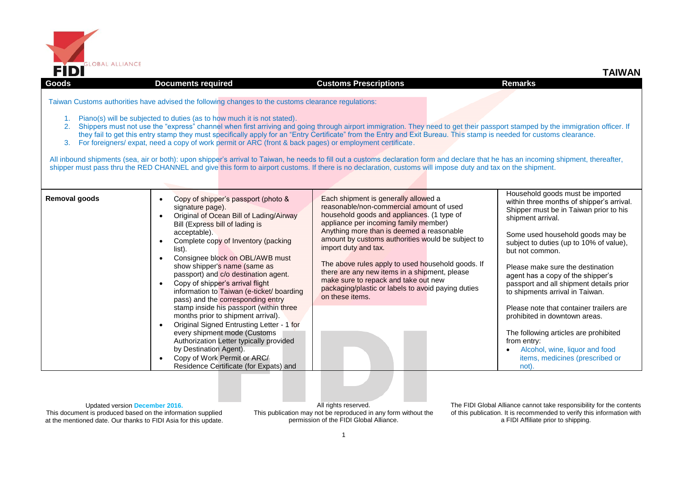

| <b>Goods</b>         | <b>Documents required</b>                                                                                                                                                                                                                                                                                                                                                                                                                                                          | <b>Customs Prescriptions</b>                                                                                                                                                                                                                                                                                                                                                                                                                                                                                                                                                                                                                                                                                   | <b>Remarks</b>                                                                                                                                                                                                                                                                                                                                                                                                                                   |
|----------------------|------------------------------------------------------------------------------------------------------------------------------------------------------------------------------------------------------------------------------------------------------------------------------------------------------------------------------------------------------------------------------------------------------------------------------------------------------------------------------------|----------------------------------------------------------------------------------------------------------------------------------------------------------------------------------------------------------------------------------------------------------------------------------------------------------------------------------------------------------------------------------------------------------------------------------------------------------------------------------------------------------------------------------------------------------------------------------------------------------------------------------------------------------------------------------------------------------------|--------------------------------------------------------------------------------------------------------------------------------------------------------------------------------------------------------------------------------------------------------------------------------------------------------------------------------------------------------------------------------------------------------------------------------------------------|
| 2 <sub>1</sub><br>3. | Taiwan Customs authorities have advised the following changes to the customs clearance regulations:<br>Piano(s) will be subjected to duties (as to how much it is not stated).<br>For foreigners/ expat, need a copy of work permit or ARC (front & back pages) or employment certificate.                                                                                                                                                                                         | Shippers must not use the "express" channel when first arriving and going through airport immigration. They need to get their passport stamped by the immigration officer. If<br>they fail to get this entry stamp they must specifically apply for an "Entry Certificate" from the Entry and Exit Bureau. This stamp is needed for customs clearance.<br>All inbound shipments (sea, air or both): upon shipper's arrival to Taiwan, he needs to fill out a customs declaration form and declare that he has an incoming shipment, thereafter,<br>shipper must pass thru the RED CHANNEL and give this form to airport customs. If there is no declaration, customs will impose duty and tax on the shipment. |                                                                                                                                                                                                                                                                                                                                                                                                                                                  |
| Removal goods        | Copy of shipper's passport (photo &<br>signature page).<br>Original of Ocean Bill of Lading/Airway<br>Bill (Express bill of lading is<br>acceptable).<br>Complete copy of Inventory (packing<br>list).<br>Consignee block on OBL/AWB must<br>show shipper's name (same as<br>passport) and c/o destination agent.<br>Copy of shipper's arrival flight<br>information to Taiwan (e-ticket/ boarding<br>pass) and the corresponding entry<br>stamp inside his passport (within three | Each shipment is generally allowed a<br>reasonable/non-commercial amount of used<br>household goods and appliances. (1 type of<br>appliance per incoming family member)<br>Anything more than is deemed a reasonable<br>amount by customs authorities would be subject to<br>import duty and tax.<br>The above rules apply to used household goods. If<br>there are any new items in a shipment, please<br>make sure to repack and take out new<br>packaging/plastic or labels to avoid paying duties<br>on these items.                                                                                                                                                                                       | Household goods must be imported<br>within three months of shipper's arrival.<br>Shipper must be in Taiwan prior to his<br>shipment arrival.<br>Some used household goods may be<br>subject to duties (up to 10% of value),<br>but not common.<br>Please make sure the destination<br>agent has a copy of the shipper's<br>passport and all shipment details prior<br>to shipments arrival in Taiwan.<br>Please note that container trailers are |
|                      | months prior to shipment arrival).<br>Original Signed Entrusting Letter - 1 for<br>every shipment mode (Customs<br>Authorization Letter typically provided<br>by Destination Agent).<br>Copy of Work Permit or ARC/<br>Residence Certificate (for Expats) and                                                                                                                                                                                                                      |                                                                                                                                                                                                                                                                                                                                                                                                                                                                                                                                                                                                                                                                                                                | prohibited in downtown areas.<br>The following articles are prohibited<br>from entry:<br>Alcohol, wine, liquor and food<br>items, medicines (prescribed or<br>not).                                                                                                                                                                                                                                                                              |

Updated version **December 2016.** This document is produced based on the information supplied at the mentioned date. Our thanks to FIDI Asia for this update.

All rights reserved. This publication may not be reproduced in any form without the permission of the FIDI Global Alliance.

The FIDI Global Alliance cannot take responsibility for the contents of this publication. It is recommended to verify this information with a FIDI Affiliate prior to shipping.

**TAIWAN**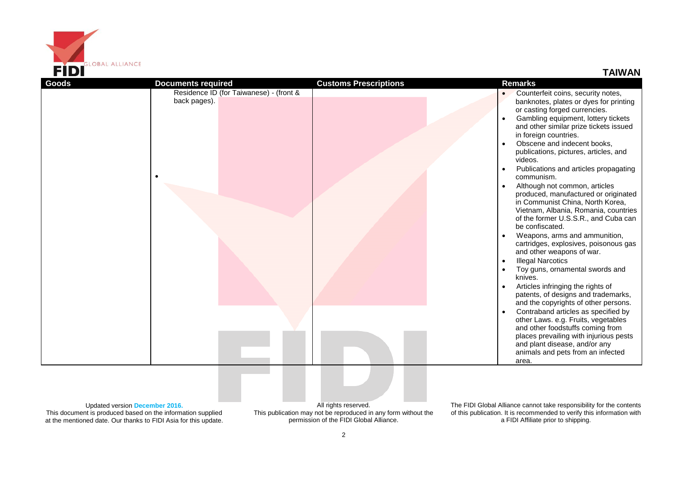

**TAIWAN**

| <b>Goods</b> | <b>Documents required</b>                               | <b>Customs Prescriptions</b> | <b>Remarks</b>                                                                                                                                    |
|--------------|---------------------------------------------------------|------------------------------|---------------------------------------------------------------------------------------------------------------------------------------------------|
|              | Residence ID (for Taiwanese) - (front &<br>back pages). |                              | Counterfeit coins, security notes,<br>banknotes, plates or dyes for printing                                                                      |
|              |                                                         |                              | or casting forged currencies.                                                                                                                     |
|              |                                                         |                              | Gambling equipment, lottery tickets                                                                                                               |
|              |                                                         |                              | and other similar prize tickets issued<br>in foreign countries.                                                                                   |
|              |                                                         |                              | Obscene and indecent books,                                                                                                                       |
|              |                                                         |                              | publications, pictures, articles, and<br>videos.                                                                                                  |
|              |                                                         |                              | Publications and articles propagating<br>communism.                                                                                               |
|              |                                                         |                              | Although not common, articles<br>produced, manufactured or originated<br>in Communist China, North Korea,<br>Vietnam, Albania, Romania, countries |
|              |                                                         |                              | of the former U.S.S.R., and Cuba can<br>be confiscated.                                                                                           |
|              |                                                         |                              | Weapons, arms and ammunition,<br>cartridges, explosives, poisonous gas                                                                            |
|              |                                                         |                              | and other weapons of war.                                                                                                                         |
|              |                                                         |                              | <b>Illegal Narcotics</b><br>Toy guns, ornamental swords and                                                                                       |
|              |                                                         |                              | knives.                                                                                                                                           |
|              |                                                         |                              | Articles infringing the rights of<br>patents, of designs and trademarks,                                                                          |
|              |                                                         |                              | and the copyrights of other persons.<br>Contraband articles as specified by                                                                       |
|              |                                                         |                              | other Laws. e.g. Fruits, vegetables<br>and other foodstuffs coming from                                                                           |
|              |                                                         |                              | places prevailing with injurious pests<br>and plant disease, and/or any                                                                           |
|              |                                                         |                              | animals and pets from an infected<br>area.                                                                                                        |
|              |                                                         |                              |                                                                                                                                                   |
|              |                                                         |                              |                                                                                                                                                   |
|              |                                                         |                              |                                                                                                                                                   |

Updated version **December 2016.** This document is produced based on the information supplied at the mentioned date. Our thanks to FIDI Asia for this update.

All rights reserved. This publication may not be reproduced in any form without the permission of the FIDI Global Alliance.

The FIDI Global Alliance cannot take responsibility for the contents of this publication. It is recommended to verify this information with a FIDI Affiliate prior to shipping.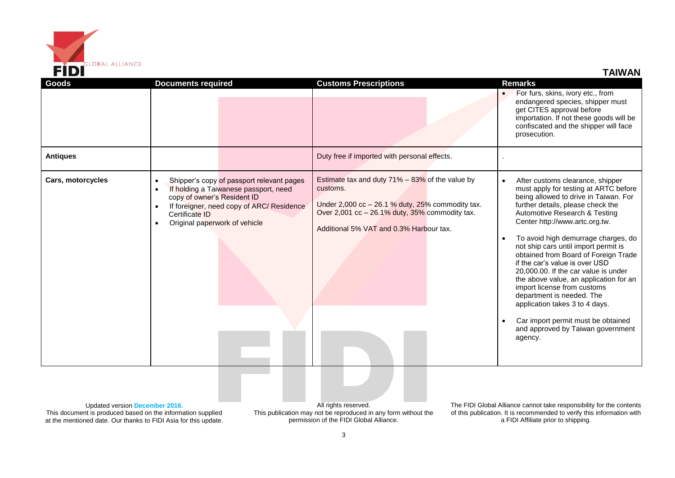

**TAIWAN**

| Goods                                                                                                                                                            | <b>Documents required</b>                                                                                                                                                                                                                                             | <b>Customs Prescriptions</b>                                                                                                                                                                                       | <b>Remarks</b>                                                                                                                                                                                                                                                                                                                                                                                                                                                                                                                                                                                                                                                         |
|------------------------------------------------------------------------------------------------------------------------------------------------------------------|-----------------------------------------------------------------------------------------------------------------------------------------------------------------------------------------------------------------------------------------------------------------------|--------------------------------------------------------------------------------------------------------------------------------------------------------------------------------------------------------------------|------------------------------------------------------------------------------------------------------------------------------------------------------------------------------------------------------------------------------------------------------------------------------------------------------------------------------------------------------------------------------------------------------------------------------------------------------------------------------------------------------------------------------------------------------------------------------------------------------------------------------------------------------------------------|
|                                                                                                                                                                  |                                                                                                                                                                                                                                                                       |                                                                                                                                                                                                                    | For furs, skins, ivory etc., from<br>endangered species, shipper must<br>get CITES approval before<br>importation. If not these goods will be<br>confiscated and the shipper will face<br>prosecution.                                                                                                                                                                                                                                                                                                                                                                                                                                                                 |
| <b>Antiques</b>                                                                                                                                                  |                                                                                                                                                                                                                                                                       | Duty free if imported with personal effects.                                                                                                                                                                       |                                                                                                                                                                                                                                                                                                                                                                                                                                                                                                                                                                                                                                                                        |
| Cars, motorcycles                                                                                                                                                | Shipper's copy of passport relevant pages<br>$\bullet$<br>If holding a Taiwanese passport, need<br>$\bullet$<br>copy of owner's Resident ID<br>If foreigner, need copy of ARC/ Residence<br>$\bullet$<br>Certificate ID<br>Original paperwork of vehicle<br>$\bullet$ | Estimate tax and duty $71\% - 83\%$ of the value by<br>customs.<br>Under 2,000 $cc - 26.1$ % duty, 25% commodity tax.<br>Over 2,001 cc - 26.1% duty, 35% commodity tax.<br>Additional 5% VAT and 0.3% Harbour tax. | After customs clearance, shipper<br>must apply for testing at ARTC before<br>being allowed to drive in Taiwan. For<br>further details, please check the<br>Automotive Research & Testing<br>Center http://www.artc.org.tw.<br>To avoid high demurrage charges, do<br>not ship cars until import permit is<br>obtained from Board of Foreign Trade<br>if the car's value is over USD<br>20,000.00. If the car value is under<br>the above value, an application for an<br>import license from customs<br>department is needed. The<br>application takes 3 to 4 days.<br>Car import permit must be obtained<br>$\bullet$<br>and approved by Taiwan government<br>agency. |
| Updated version December 2016.<br>This document is produced based on the information supplied<br>at the mentioned date. Our thanks to FIDI Asia for this update. |                                                                                                                                                                                                                                                                       | All rights reserved.<br>This publication may not be reproduced in any form without the<br>permission of the FIDI Global Alliance.                                                                                  | The FIDI Global Alliance cannot take responsibility for the contents<br>of this publication. It is recommended to verify this information with<br>a FIDI Affiliate prior to shipping.                                                                                                                                                                                                                                                                                                                                                                                                                                                                                  |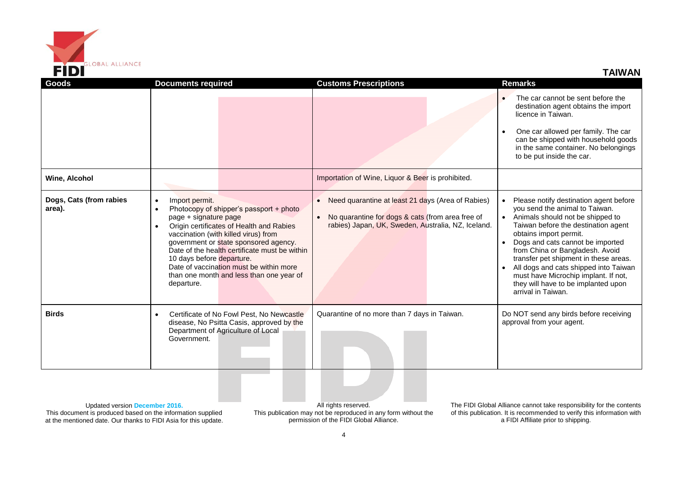

**TAIWAN**

| Goods                                | <b>Documents required</b>                                                                                                 |                                                                                                                                                                                                                                                                                                              | <b>Customs Prescriptions</b>                                                                                                                                             | <b>Remarks</b> |  |                                                                                                                                                                                                                                                                                                                                                                                                                                             |
|--------------------------------------|---------------------------------------------------------------------------------------------------------------------------|--------------------------------------------------------------------------------------------------------------------------------------------------------------------------------------------------------------------------------------------------------------------------------------------------------------|--------------------------------------------------------------------------------------------------------------------------------------------------------------------------|----------------|--|---------------------------------------------------------------------------------------------------------------------------------------------------------------------------------------------------------------------------------------------------------------------------------------------------------------------------------------------------------------------------------------------------------------------------------------------|
|                                      |                                                                                                                           |                                                                                                                                                                                                                                                                                                              |                                                                                                                                                                          |                |  | The car cannot be sent before the<br>destination agent obtains the import<br>licence in Taiwan.<br>One car allowed per family. The car<br>can be shipped with household goods<br>in the same container. No belongings                                                                                                                                                                                                                       |
|                                      |                                                                                                                           |                                                                                                                                                                                                                                                                                                              |                                                                                                                                                                          |                |  | to be put inside the car.                                                                                                                                                                                                                                                                                                                                                                                                                   |
| Wine, Alcohol                        |                                                                                                                           |                                                                                                                                                                                                                                                                                                              | Importation of Wine, Liquor & Beer is prohibited.                                                                                                                        |                |  |                                                                                                                                                                                                                                                                                                                                                                                                                                             |
| Dogs, Cats (from rabies<br>area).    | Import permit.<br>$\bullet$<br>$\bullet$<br>page + signature page<br>$\bullet$<br>10 days before departure.<br>departure. | Photocopy of shipper's passport + photo<br>Origin certificates of Health and Rabies<br>vaccination (with killed virus) from<br>government or state sponsored agency.<br>Date of the health certificate must be within<br>Date of vaccination must be within more<br>than one month and less than one year of | Need quarantine at least 21 days (Area of Rabies)<br>$\bullet$<br>No quarantine for dogs & cats (from area free of<br>rabies) Japan, UK, Sweden, Australia, NZ, Iceland. |                |  | Please notify destination agent before<br>you send the animal to Taiwan.<br>Animals should not be shipped to<br>Taiwan before the destination agent<br>obtains import permit.<br>Dogs and cats cannot be imported<br>from China or Bangladesh. Avoid<br>transfer pet shipment in these areas.<br>All dogs and cats shipped into Taiwan<br>must have Microchip implant. If not,<br>they will have to be implanted upon<br>arrival in Taiwan. |
| <b>Birds</b>                         | $\bullet$<br>Government.                                                                                                  | Certificate of No Fowl Pest, No Newcastle<br>disease, No Psitta Casis, approved by the<br>Department of Agriculture of Local                                                                                                                                                                                 | Quarantine of no more than 7 days in Taiwan.                                                                                                                             |                |  | Do NOT send any birds before receiving<br>approval from your agent.                                                                                                                                                                                                                                                                                                                                                                         |
| <b>Undeted version Desamber 2046</b> |                                                                                                                           |                                                                                                                                                                                                                                                                                                              | All rights reserved                                                                                                                                                      |                |  | The EIDLO lebel Alliance connot take reaponability for the contents                                                                                                                                                                                                                                                                                                                                                                         |

Updated version **December 2016.** This document is produced based on the information supplied at the mentioned date. Our thanks to FIDI Asia for this update.

All rights reserved. This publication may not be reproduced in any form without the permission of the FIDI Global Alliance.

The FIDI Global Alliance cannot take responsibility for the contents of this publication. It is recommended to verify this information with a FIDI Affiliate prior to shipping.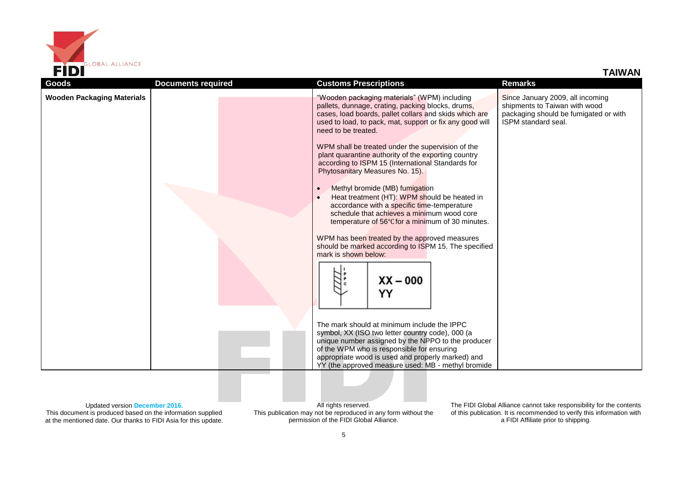

| <b>Goods</b>                      | <b>Documents required</b> | <b>Customs Prescriptions</b>                                                                                                                                                                                                                                                                                                                                                                                                                                                                                                                                                                                                                                                                                                                                                                                                               | <b>Remarks</b>                                                                                                                           |
|-----------------------------------|---------------------------|--------------------------------------------------------------------------------------------------------------------------------------------------------------------------------------------------------------------------------------------------------------------------------------------------------------------------------------------------------------------------------------------------------------------------------------------------------------------------------------------------------------------------------------------------------------------------------------------------------------------------------------------------------------------------------------------------------------------------------------------------------------------------------------------------------------------------------------------|------------------------------------------------------------------------------------------------------------------------------------------|
| <b>Wooden Packaging Materials</b> |                           | "Wooden packaging materials" (WPM) including<br>pallets, dunnage, crating, packing blocks, drums,<br>cases, load boards, pallet collars and skids which are<br>used to load, to pack, mat, support or fix any good will<br>need to be treated.<br>WPM shall be treated under the supervision of the<br>plant quarantine authority of the exporting country<br>according to ISPM 15 (International Standards for<br>Phytosanitary Measures No. 15).<br>Methyl bromide (MB) fumigation<br>Heat treatment (HT): WPM should be heated in<br>accordance with a specific time-temperature<br>schedule that achieves a minimum wood core<br>temperature of 56°C for a minimum of 30 minutes.<br>WPM has been treated by the approved measures<br>should be marked according to ISPM 15. The specified<br>mark is shown below:<br>$XX - 000$<br>YY | Since January 2009, all incoming<br>shipments to Taiwan with wood<br>packaging should be fumigated or with<br><b>ISPM</b> standard seal. |
|                                   |                           | The mark should at minimum include the IPPC<br>symbol, XX (ISO two letter country code), 000 (a<br>unique number assigned by the NPPO to the producer<br>of the WPM who is responsible for ensuring<br>appropriate wood is used and properly marked) and<br>YY (the approved measure used: MB - methyl bromide                                                                                                                                                                                                                                                                                                                                                                                                                                                                                                                             |                                                                                                                                          |

Updated version **December 2016.**

This document is produced based on the information supplied at the mentioned date. Our thanks to FIDI Asia for this update.

All rights reserved. This publication may not be reproduced in any form without the permission of the FIDI Global Alliance.

The FIDI Global Alliance cannot take responsibility for the contents of this publication. It is recommended to verify this information with a FIDI Affiliate prior to shipping.

**TAIWAN**